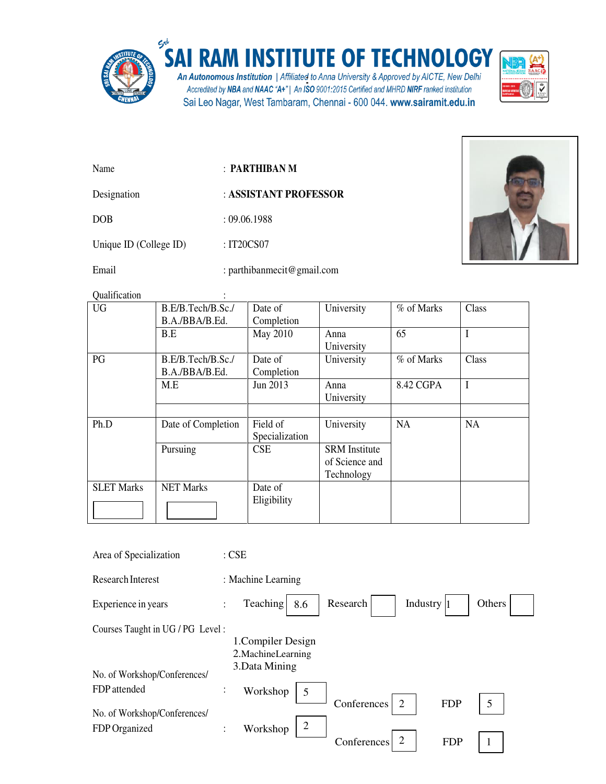

## SAI RAM INSTITUTE OF TECHNOLOGY

An Autonomous Institution | Affiliated to Anna University & Approved by AICTE, New Delhi<br>Accredited by NBA and NAAC "A+" | An ISO 9001:2015 Certified and MHRD NIRF ranked institution Sai Leo Nagar, West Tambaram, Chennai - 600 044. www.sairamit.edu.in



- Name : **PARTHIBAN M**
- Designation : **ASSISTANT PROFESSOR**

DOB : 09.06.1988

Unique ID (College ID) : IT20CS07

Email : parthibanmecit@gmail.com



Qualification :

| <b>UG</b>         | B.E/B.Tech/B.Sc./  | Date of        | University           | % of Marks | Class |
|-------------------|--------------------|----------------|----------------------|------------|-------|
|                   | B.A./BBA/B.Ed.     | Completion     |                      |            |       |
|                   | B.E                | May 2010       | Anna                 | 65         | I     |
|                   |                    |                | University           |            |       |
| PG                | B.E/B.Tech/B.Sc./  | Date of        | University           | % of Marks | Class |
|                   | B.A./BBA/B.Ed.     | Completion     |                      |            |       |
|                   | M.E                | Jun 2013       | Anna                 | 8.42 CGPA  | I     |
|                   |                    |                | University           |            |       |
|                   |                    |                |                      |            |       |
| Ph.D              | Date of Completion | Field of       | University           | NA         | NA    |
|                   |                    | Specialization |                      |            |       |
|                   | Pursuing           | CSE            | <b>SRM</b> Institute |            |       |
|                   |                    |                | of Science and       |            |       |
|                   |                    |                | Technology           |            |       |
| <b>SLET Marks</b> | <b>NET Marks</b>   | Date of        |                      |            |       |
|                   |                    | Eligibility    |                      |            |       |
|                   |                    |                |                      |            |       |

| Area of Specialization           | $:$ CSE                                                                    |
|----------------------------------|----------------------------------------------------------------------------|
| <b>Research Interest</b>         | : Machine Learning                                                         |
| Experience in years              | Teaching  <br>Industry $ 1$<br>Others<br>Research<br>8.6<br>$\ddot{\cdot}$ |
| Courses Taught in UG / PG Level: |                                                                            |
|                                  | 1. Compiler Design                                                         |
|                                  | 2. Machine Learning                                                        |
|                                  | 3. Data Mining                                                             |
| No. of Workshop/Conferences/     |                                                                            |
| FDP attended                     | $\vdots$<br>Workshop<br>5                                                  |
| No. of Workshop/Conferences/     | 5<br>$\overline{2}$<br><b>FDP</b><br>Conferences                           |
|                                  | $\overline{2}$                                                             |
| FDP Organized                    | Workshop<br>$\ddot{\cdot}$                                                 |
|                                  | $\overline{2}$<br>Conferences<br><b>FDP</b>                                |